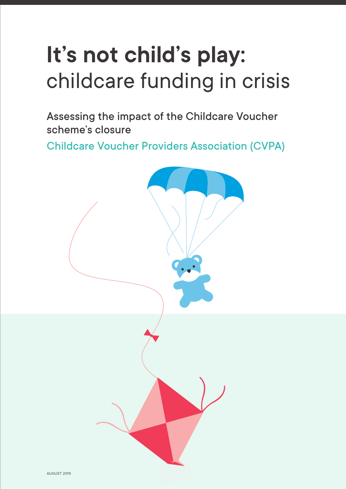# **It's not child's play:** childcare funding in crisis

Assessing the impact of the Childcare Voucher scheme's closure

Childcare Voucher Providers Association (CVPA)

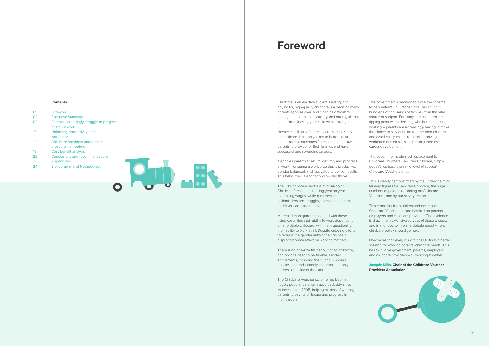## **Foreword**

Childcare is an emotive subject. Finding, and paying for, high-quality childcare is a decision many parents agonise over, and it can be difficult to manage the separation, anxiety, and often guilt that comes from leaving your child with a stranger.

However, millions of parents across the UK rely on childcare. It not only leads to better social and academic outcomes for children, but allows parents to provide for their families and have successful and rewarding careers.

It enables parents to return, get into, and progress in work – ensuring a workforce that is productive, gender-balanced, and motivated to deliver results. This helps the UK economy grow and thrive.

The UK's childcare sector is at crisis-point. Childcare fees are increasing year on year, overtaking wages, while nurseries and childminders are struggling to make ends meet to deliver care sustainably.

More and more parents, saddled with these rising costs, find their ability to work dependent on affordable childcare, with many questioning their ability to work at all. Despite ongoing efforts to redress the gender imbalance, this has a disproportionate effect on working mothers.

There is no one-size fits all solution to childcare, and options need to be flexible. Funded entitlements, including the 15 and 30-hours policies, are undoubtedly important, but only address one side of the coin.

The Childcare Voucher scheme has been a hugely popular parental-support subsidy since its inception in 2005, helping millions of working parents to pay for childcare and progress in their careers.

The government's decision to close the scheme to new entrants in October 2018 has shut out hundreds of thousands of families from this vital source of support. For many, this has been the tipping point when deciding whether to continue working – parents are increasingly having to make the choice to stay at home to raise their children and avoid costly childcare costs, depriving the workforce of their skills and limiting their own career development.

The government's planned replacement to Childcare Vouchers, Tax-Free Childcare, simply doesn't replicate the same level of support Childcare Vouchers offer.

This is clearly demonstrated by the underwhelming take-up figures for Tax-Free Childcare, the huge numbers of parents remaining on Childcare Vouchers, and by our survey results.

This report seeks to understand the impact the Childcare Voucher closure has had on parents, employers and childcare providers. The evidence is drawn from extensive surveys of these groups, and is intended to inform a debate about where childcare policy should go next.

Now, more than ever, it is vital the UK finds a better solution for working parents' childcare needs. This has to involve government, parents, employers, and childcare providers – all working together.

### **Jacquie Mills, Chair of the Childcare Voucher Providers Association**



### **Contents**

| 01 | Foreword                                  |
|----|-------------------------------------------|
| 02 | <b>Executive Summary</b>                  |
| 04 | Parents increasingly struggle to progress |
|    | or stay in work                           |
| 10 | Unlocking productivity in the             |
|    | workplace                                 |
| 14 | Childcare providers under more            |
|    | pressure than before                      |
| 18 | Cost-benefit analysis                     |
| 22 | <b>Conclusions and recommendations</b>    |
| 23 | <b>Appendices</b>                         |

24 Bibliography and Methodology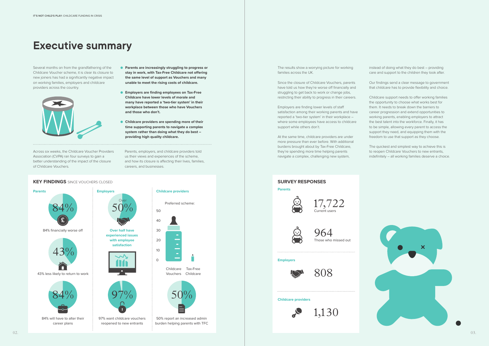## **Executive summary**

Several months on from the grandfathering of the Childcare Voucher scheme, it is clear its closure to new joiners has had a significantly negative impact on working families, employers and childcare providers across the country.



The results show a worrying picture for working families across the UK.

Since the closure of Childcare Vouchers, parents have told us how they're worse off financially and struggling to get back to work or change jobs, restricting their ability to progress in their careers.

Employers are finding lower levels of staff satisfaction among their working parents and have reported a 'two-tier system' in their workplace – where some employees have access to childcare support while others don't.

At the same time, childcare providers are under more pressure than ever before. With additional burdens brought about by Tax-Free Childcare, they're spending more time helping parents navigate a complex, challenging new system,

Across six weeks, the Childcare Voucher Providers Association (CVPA) ran four surveys to gain a better understanding of the impact of the closure of Childcare Vouchers.

Parents, employers, and childcare providers told us their views and experiences of the scheme, and how its closure is affecting their lives, families, careers, and businesses.

instead of doing what they do best – providing care and support to the children they look after.

Our findings send a clear message to government that childcare has to provide flexibility and choice.





Childcare support needs to offer working families the opportunity to choose what works best for them. It needs to break down the barriers to career progression and extend opportunities to working parents, enabling employers to attract the best talent into the workforce. Finally, it has to be simple, allowing every parent to access the support they need, and equipping them with the freedom to use that support as they choose.

The quickest and simplest way to achieve this is to reopen Childcare Vouchers to new entrants, indefinitely – all working families deserve a choice.



- **Parents are increasingly struggling to progress or stay in work, with Tax-Free Childcare not offering the same level of support as Vouchers and many unable to meet the rising costs of childcare.**
- **Employers are finding employees on Tax-Free Childcare have lower levels of morale and many have reported a 'two-tier system' in their workplace between those who have Vouchers and those who don't.**
- **Childcare providers are spending more of their time supporting parents to navigate a complex system rather than doing what they do best – providing high quality childcare.**

Childcare Tax-Free Vouchers Childcare

Preferred scheme:







Those who missed out 964





### **KEY FINDINGS** SINCE VOUCHERS CLOSED **SURVEY RESPONSES**

### **Employers**

### **Childcare providers**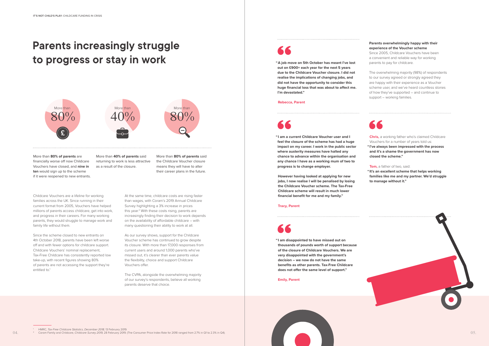## **Parents increasingly struggle to progress or stay in work**

More than **80% of parents** are financially worse off now Childcare Vouchers have closed, and **nine in ten** would sign up to the scheme if it were reopened to new entrants.

More than **40% of parents** said returning to work is less attractive as a result of the closure.

Since the scheme closed to new entrants on 4th October 2018, parents have been left worse off and with fewer options for childcare support. Childcare Vouchers' nominal replacement, Tax-Free Childcare has consistently reported low take-up, with recent figures showing 80% of parents are not accessing the support they're entitled to.<sup>1</sup>

More than **80% of parents** said the Childcare Voucher closure means they will have to alter their career plans in the future.

Childcare Vouchers are a lifeline for working families across the UK. Since running in their current format from 2005, Vouchers have helped millions of parents access childcare, get into work, and progress in their careers. For many working parents, they would struggle to manage work and family life without them.

**"A job move on 5th October has meant I've lost out on £900+ each year for the next 5 years due to the Childcare Voucher closure. I did not realise the implications of changing jobs, and did not have the opportunity to consider this huge financial loss that was about to affect me. I'm devastated."**

### **Rebecca, Parent**

**"I am a current Childcare Voucher user and I feel the closure of the scheme has had a huge impact on my career. I work in the public sector where austerity measures have halted any chance to advance within the organisation and any chance I have as a working mum of two to progress is to change employer.**

 **However having looked at applying for new jobs, I now realise I will be penalised by losing the Childcare Voucher scheme. The Tax-Free Childcare scheme will result in much lower financial benefit for me and my family."**

### **Tracy, Parent**

**" I am disappointed to have missed out on thousands of pounds worth of support because of the closure of Childcare Vouchers. We are very disappointed with the government's decision – we now do not have the same benefits as other parents. Tax-Free Childcare does not offer the same level of support."**

### **Emily, Parent**



<sup>1</sup> HMRC, *Tax-Free Childcare Statistics, December 2018,* 13 February 2019. The Consumer Price Index Rate for 2018 ranged from 2.7% in Q1 to 2.3% in Q4). Correctionally and Childcare, Childcare, Childcare Survey 2019, 28 F

 **Chris,** a working father who's claimed Childcare Vouchers for a number of years told us: **" I've always been impressed with the process and it's a shame the government has now closed the scheme."**

**Tom,** a father of two, said:

**" It's an excellent scheme that helps working families like me and my partner. We'd struggle to manage without it."**



At the same time, childcare costs are rising faster than wages, with Coram's 2019 Annual Childcare Survey highlighting a 3% increase in prices this year.2 With these costs rising, parents are increasingly finding their decision to work depends on the availability of affordable childcare – with many questioning their ability to work at all.

As our survey shows, support for the Childcare Voucher scheme has continued to grow despite its closure. With more than 17,000 responses from current users and around 1,000 parents who've missed out, it's clearer than ever parents value the flexibility, choice and support Childcare Vouchers offer.

The CVPA, alongside the overwhelming majority of our survey's respondents, believe all working parents deserve that choice.

### **Parents overwhelmingly happy with their experience of the Voucher scheme**

Since 2005, Childcare Vouchers have been a convenient and reliable way for working parents to pay for childcare.

The overwhelming majority (98%) of respondents to our survey agreed or strongly agreed they are happy with their experience as a Voucher scheme user, and we've heard countless stories of how they've supported – and continue to support – working families.

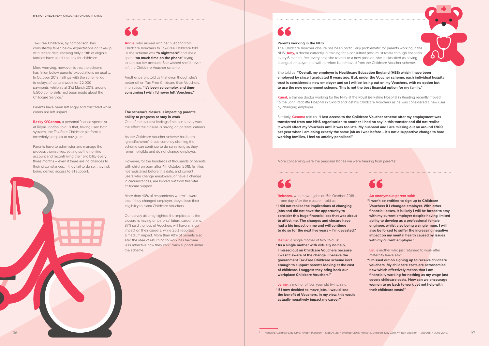### **The scheme's closure is impacting parents' ability to progress or stay in work**

One of the starkest findings from our survey was the effect the closure is having on parents' careers.

As the Childcare Voucher scheme has been 'grandfathered', those currently claiming the scheme can continue to do so as long as they remain eligible and do not change employer.

However, for the hundreds of thousands of parents with children born after 4th October 2018, families not registered before this date, and current users who change employers, or have a change in circumstances, are locked out from this vital childcare support.

More than 40% of respondents weren't aware that if they changed employer, they'd lose their eligibility to claim Childcare Vouchers.

### **Lin,** a mother who just returned to work after maternity leave said:

Our survey also highlighted the implications the closure is having on parents' future career plans. 37% said the loss of Vouchers will have a large impact on their careers, while 26% reported a medium impact. More than 40% of parents also said the idea of returning to work has become less attractive now they can't claim support under the scheme.

### **An anonymous parent said:**

**" I won't be entitled to sign up to Childcare Vouchers if I changed employer. With other financial losses, it is likely I will be forced to stay with my current employer despite having limited ability to develop as a professional female engineer, whilst also being a single mum. I will also be forced to suffer the increasing negative impact on my mental health caused by issues with my current employer."**

Ò.

More worrying, however, is that the scheme has fallen below parents' expectations on quality. In October 2018, failings with the scheme led to delays of up to a week for 22,000 payments, while as at 31st March 2019, around 5,500 complaints had been made about the Childcare Service<sup>3</sup>

> **" I missed out on signing up to receive childcare vouchers. My childcare costs are astronomical now which effectively means that I am financially working for nothing as my wage just covers childcare costs. How can we encourage women to go back to work yet not help with their childcare costs?"**

**Becky O'Connor,** a personal finance specialist at Royal London, told us that, having used both systems, the Tax-Free Childcare platform is incredibly complex to navigate.

> **Rebecca,** who moved jobs on 5th October 2018 – one day after the closure – told us:

**" I did not realise the implications of changing jobs and did not have the opportunity to consider this huge financial loss that was about to affect me. The changes and closure have had a big impact on me and will continue to do so for the next five years – I'm devasted."**

### **Danier,** a single mother of two, told us:

**" As a single mother with virtually no help, I missed out on Childcare Vouchers because I wasn't aware of the change. I believe the government Tax-Free Childcare scheme isn't enough to support parents looking at the cost of childcare. I suggest they bring back our workplace Childcare Vouchers."**

### **Jenny,** a mother of four-year-old twins, said:

**" If I now decided to move jobs, I would lose the benefit of Vouchers. In my view, this would actually negatively impact my career."**

More concerning were the personal stories we were hearing from parents:

**Annie,** who moved with her husband from Childcare Vouchers to Tax-Free Childcare told us the scheme was **"a nightmare"** and she'd spent **"so much time on the phone"** trying to sort out her account. She wished she'd never left the Childcare Voucher scheme.

Another parent told us that even though she's better off on Tax-Free Childcare than Vouchers, in practice, **"it's been so complex and timeconsuming I wish I'd never left Vouchers."**

Tax-Free Childcare, by comparison, has consistently fallen below expectations on take-up, with recent data showing only a fifth of eligible families have used it to pay for childcare.

Parents have been left angry and frustrated while carers are left unpaid.

Parents have to administer and manage the process themselves, setting up their online account and reconfirming their eligibility every three months – even if there are no changes to their circumstances. If they fail to do so, they risk being denied access to all support.



### **Parents working in the NHS**

The Childcare Voucher closure has been particularly problematic for parents working in the NHS. **Amy,** a doctor currently in training for a consultant post, must rotate through hospitals every 6 months. Yet, every time she rotates to a new position, she is classified as having changed employer and will therefore be removed from the Childcare Voucher scheme.

She told us: **"Overall, my employer is Healthcare Education England (HEE) which I have been employed by since I graduated 8 years ago. But, under the Voucher scheme, each individual hospital trust is considered a new employer and so I will be losing out on my Vouchers, with no option but to use the new government scheme. This is not the best financial option for my family."**

**Kunal,** a trainee doctor working for the NHS at the Royal Berkshire Hospital in Reading recently moved to the John Radcliffe Hospital in Oxford and lost his Childcare Vouchers as he was considered a new user by changing employer.

Similarly, **Gemma** told us: **"I lost access to the Childcare Voucher scheme after my employment was transferred from one NHS organisation to another. I had no say in this transfer and did not realise it would affect my Vouchers until it was too late. My husband and I are missing out on around £900 per year when I am doing exactly the same job as I was before – it's not a supportive change to hard working families, I feel so unfairly penalised."**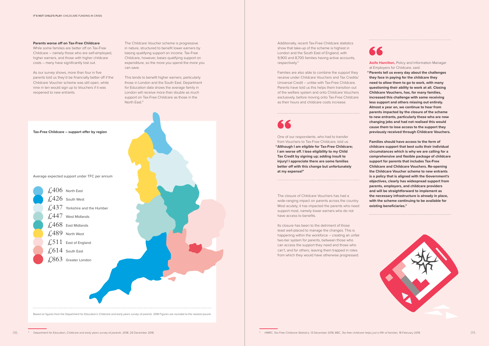### **Parents worse off on Tax-Free Childcare**

While some families are better off on Tax-Free Childcare – namely those who are self-employed, higher earners, and those with higher childcare costs – many have significantly lost out.

> This tends to benefit higher earners, particularly those in London and the South East. Department for Education data shows the average family in London will receive more than double as much support on Tax-Free Childcare as those in the North East.<sup>4</sup>

As our survey shows, more than four in five parents told us they'd be financially better off if the Childcare Voucher scheme was still open, while nine in ten would sign up to Vouchers if it was reopened to new entrants.

The Childcare Voucher scheme is progressive in nature, structured to benefit lower earners by basing qualifying support on income. Tax-Free Childcare, however, bases qualifying support on expenditure, so the more you spend the more you can save.

Additionally, recent Tax-Free Childcare statistics show that take-up of the scheme is highest in London and the South East of England, with 9,900 and 8,700 families having active accounts, respectively.5

Families are also able to combine the support they receive under Childcare Vouchers and Tax Credits/ Universal Credit – unlike with Tax-Free Childcare. Parents have told us this helps them transition out of the welfare system and onto Childcare Vouchers exclusively, before moving onto Tax-Free Childcare as their hours and childcare costs increase.

### **Aoife Hamilton,** Policy and Information Manager at Employers for Childcare, said:

**" Parents tell us every day about the challenges they face in paying for the childcare they need to allow them to go to work, with many questioning their ability to work at all. Closing Childcare Vouchers, has, for many families, increased this challenge with some receiving less support and others missing out entirely. Almost a year on, we continue to hear from parents impacted by the closure of the scheme to new entrants, particularly those who are now changing jobs and had not realised this would cause them to lose access to the support they previously received through Childcare Vouchers.**

 **Families should have access to the form of childcare support that best suits their individual circumstances which is why we are calling for a comprehensive and flexible package of childcare support for parents that includes Tax-Free Childcare and Childcare Vouchers. Re-opening the Childcare Voucher scheme to new entrants is a policy that is aligned with the Government's objectives, clearly has widespread support from parents, employers, and childcare providers and will be straightforward to implement as the necessary infrastructure is already in place, with the scheme continuing to be available for existing beneficiaries."**





 One of our respondents, who had to transfer from Vouchers to Tax-Free Childcare, told us: **" Although I am eligible for Tax-Free Childcare; I am worse off. I lose eligibility to my Child Tax Credit by signing up; adding insult to injury! I appreciate there are some families better off with this change but unfortunately at my expense!"**

The closure of Childcare Vouchers has had a wide-ranging impact on parents across the country. Most acutely, it has impacted the parents who need support most, namely lower earners who do not have access to benefits.

Its closure has been to the detriment of those least well-placed to manage the changes. This is happening within the workforce – creating an unfair two-tier system for parents, between those who can access the support they need and those who can't, and for others, leaving them trapped in roles from which they would have otherwise progressed.

## 66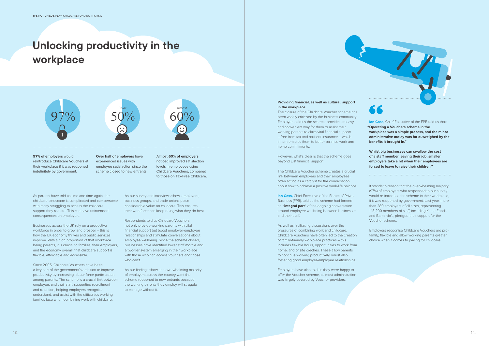## **Unlocking productivity in the workplace**



**97% of employers** would reintroduce Childcare Vouchers at their workplace if it was reopened indefinitely by government.

**Over half of employers** have experienced issues with employee satisfaction since the scheme closed to new entrants.

Almost **60% of employers** noticed improved satisfaction levels in employees using Childcare Vouchers, compared to those on Tax-Free Childcare.

As parents have told us time and time again, the childcare landscape is complicated and cumbersome, with many struggling to access the childcare support they require. This can have unintended consequences on employers.

Businesses across the UK rely on a productive workforce in order to grow and prosper – this is how the UK economy thrives and public services improve. With a high proportion of that workforce being parents, it is crucial to families, their employers, and the economy overall, that childcare support is flexible, affordable and accessible.

Since 2005, Childcare Vouchers have been a key part of the government's ambition to improve productivity by increasing labour force participation among parents. The scheme is a crucial link between employers and their staff, supporting recruitment and retention, helping employers recognise, understand, and assist with the difficulties working families face when combining work with childcare.

As our survey and interviews show, employers, business groups, and trade unions place considerable value on childcare. This ensures their workforce can keep doing what they do best. **Ian Cass, Chief Executive of the Forum of Private** Business (FPB), told us the scheme had formed an **"integral part"** of the ongoing conversation around employee wellbeing between businesses and their staff.

Respondents told us Childcare Vouchers not only provide working parents with vital financial support but boost employer-employee relationships and stimulate conversations about employee wellbeing. Since the scheme closed, businesses have identified lower staff morale and a two-tier system emerging in their workplace with those who can access Vouchers and those who can't.

**Ian Cass, Chief Executive of the FPB told us that: " Operating a Vouchers scheme in the workplace was a simple process, and the minor administrative outlay was far outweighed by the benefits it brought in."**

As our findings show, the overwhelming majority of employers across the country want the scheme reopened to new entrants because the working parents they employ will struggle to manage without it.

It stands to reason that the overwhelming majority (97%) of employers who responded to our survey would re-introduce the scheme in their workplace, if it was reopened by government. Last year, more than 280 employers of all sizes, representing 148,200 members of staff, including Kettle Foods and Barnardo's, pledged their support for the Voucher scheme.

### **Providing financial, as well as cultural, support in the workplace**

The closure of the Childcare Voucher scheme has been widely criticised by the business community. Employers told us the scheme provides an easy and convenient way for them to assist their working parents to claim vital financial support – free from tax and national insurance – which in turn enables them to better balance work and home commitments.

However, what's clear is that the scheme goes beyond just financial support.

The Childcare Voucher scheme creates a crucial link between employers and their employees, often acting as a catalyst for the conversation about how to achieve a positive work-life balance.

As well as facilitating discussions over the pressures of combining work and childcare, Childcare Vouchers have often led to the creation of family-friendly workplace practices – this includes flexible hours, opportunities to work from home, and onsite crèches. These allow parents to continue working productively, whilst also fostering good employer-employee relationships.





Employers have also told us they were happy to offer the Voucher scheme, as most administration was largely covered by Voucher providers.



 **Whilst big businesses can swallow the cost of a staff member leaving their job, smaller employers take a hit when their employees are forced to leave to raise their children."**

Employers recognise Childcare Vouchers are profamily, flexible and allow working parents greater choice when it comes to paying for childcare.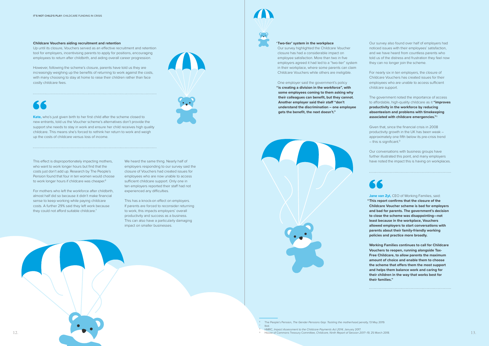### **Childcare Vouchers aiding recruitment and retention**

Up until its closure, Vouchers served as an effective recruitment and retention tool for employers, incentivising parents to apply for positions, encouraging employees to return after childbirth, and aiding overall career progression.

This effect is disproportionately impacting mothers, who want to work longer hours but find that the costs just don't add up. Research by The People's Pension found that four in ten women would choose to work longer hours if childcare was cheaper.<sup>6</sup>

For mothers who left the workforce after childbirth, almost half did so because it didn't make financial sense to keep working while paying childcare costs. A further 29% said they left work because they could not afford suitable childcare.<sup>7</sup>

However, following the scheme's closure, parents have told us they are increasingly weighing up the benefits of returning to work against the costs, with many choosing to stay at home to raise their children rather than face costly childcare fees.

## 50

We heard the same thing. Nearly half of employers responding to our survey said the closure of Vouchers had created issues for employees who are now unable to access sufficient childcare support. Only one in ten employers reported their staff had not experienced any difficulties.

Given that, since the financial crisis in 2008 productivity growth in the UK has been weak – approximately one fifth below its pre-crisis trend  $-$  this is significant. $9$ 

This has a knock-on effect on employers. If parents are forced to reconsider returning to work, this impacts employers' overall productivity and success as a business. This can also have a particularly damaging impact on smaller businesses.



### **' Two-tier' system in the workplace**

 Our survey highlighted the Childcare Voucher closure has had a considerable impact on employee satisfaction. More than two in five employers agreed it had led to a "two-tier" system in their workplace, where some parents can claim Childcare Vouchers while others are ineligible.

### One employer said the government's policy

**" is creating a division in the workforce", with some employees coming to them asking why their colleagues can benefit, but they cannot. Another employer said their staff "don't understand the discrimination – one employee gets the benefit, the next doesn't."** 



<sup>6</sup> The People's Pension, *The Gender Pensions Gap: Tackling the motherhood penalty,* 13 May 2019. lbid.<br>HMRC, Impact Assessment to the Childcare Payments Act 2014, January 2017.

<sup>9</sup> House of Commons Treasury Committee, *Childcare, Ninth Report of Session 2017–19*, 25 March 2018.

Our survey also found over half of employers had noticed issues with their employees' satisfaction, and we have heard from countless parents who told us of the distress and frustration they feel now they can no longer join the scheme.

For nearly six in ten employers, the closure of Childcare Vouchers has created issues for their employees who are unable to access sufficient childcare support.

The government noted the importance of access to affordable, high-quality childcare as it **"improves productivity in the workforce by reducing absenteeism and problems with timekeeping associated with childcare emergencies."**<sup>8</sup>

Our conversations with business groups have further illustrated this point, and many employers have noted the impact this is having on workplaces.

### **Jane van Zyl, CEO of Working Families, said:**

**" This report confirms that the closure of the Childcare Voucher scheme is bad for employers and bad for parents. The government's decision to close the scheme was disappointing—not least because in the workplace, Vouchers allowed employers to start conversations with parents about their family-friendly working policies and practice more broadly.** 

 **Working Families continues to call for Childcare Vouchers to reopen, running alongside Tax-Free Childcare, to allow parents the maximum amount of choice and enable them to choose the scheme that offers them the most support and helps them balance work and caring for their children in the way that works best for their families."**

**Kate,** who's just given birth to her first child after the scheme closed to new entrants, told us the Voucher scheme's alternatives don't provide the support she needs to stay in work and ensure her child receives high quality childcare. This means she's forced to rethink her return to work and weigh up the costs of childcare versus loss of income.

12.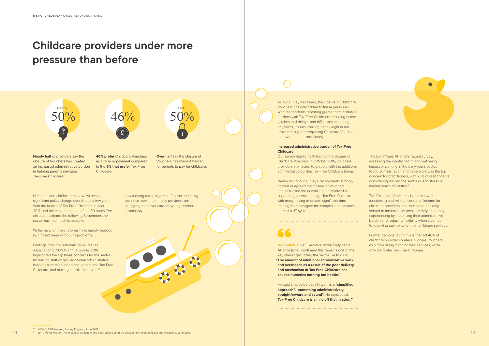## **Childcare providers under more pressure than before**

**Nearly half** of providers say the closure of Vouchers has created an increased administrative burden in helping parents navigate Tax-Free Childcare.

**Over half** say the closure of Vouchers has made it harder for parents to pay for childcare.

**46% prefer** Childcare Vouchers as a form or payment compared to the **5% that prefer** Tax-Free Childcare.

Findings from the National Day Nurseries Association's (NDNA) annual survey 2018 highlighted the top three concerns for the sector: Increasing staff wages, additional administrative burdens from the funded entitlement and Tax-Free Childcare, and making a profit or surplus.<sup>10</sup>

Nurseries and childminders have witnessed significant policy change over the past few years. With the launch of Tax-Free Childcare in April 2017, and the implementation of the 30 hours free childcare scheme the following September, the sector has had much to adapt to.

While many of these reforms have largely bedded in, it hasn't been without its problems.

The Early Years Alliance's recent survey, assessing the mental health and wellbeing impact of working in the early years sector, found administration and paperwork was the top concern for practitioners, with 25% of respondents considering leaving the sector due to stress or mental health difficulties.<sup>11</sup>

O

As our survey has found, the closure of Childcare Vouchers has only added to these pressures. With respondents reporting greater administrative burdens with Tax-Free Childcare, including online glitches and delays, and difficulties accepting payments, it's unsurprising nearly eight in ten providers support reopening Childcare Vouchers to new entrants – indefinitely.

### **Increased administrative burden of Tax-Free Childcare**

14. 15. <sup>10</sup> NDNA, 2018 Nursery Survey England, June 2018. 11 EYA, Minds Matter, The impact of working in the early years sector on practitioners' mental health and wellbeing, June 2018.

Our survey highlights that since the closure of Childcare Vouchers in October 2018, childcare providers are having to grapple with the additional administrative burden Tax-Free Childcare brings.

**Neil Leitch,** Chief Executive of the Early Years Alliance (EYA), confirmed this remains one of the key challenges facing the sector. He told us: **"The amount of additional administrative work and overheads as a result of the poor delivery and mechanism of Tax-Free Childcare has caused nurseries nothing but hassle."**

Nearly half of our survey's respondents strongly agreed or agreed the closure of Vouchers had increased the administration involved in supporting parents manage Tax-Free Childcare, with many having to devote significant time helping them navigate the complex and, at times, unreliable IT system.

Low funding rates, higher staff costs and rising business rates mean many providers are struggling to deliver care for young children sustainably.

The Childcare Voucher scheme is a wellfunctioning and reliable source of income for childcare providers, and its closure has only served to increase the pressure they're already experiencing by increasing their administrative burden and reducing flexibility when it comes to receiving payments for their childcare services.

Further demonstrating this is the fact 46% of childcare providers prefer Childcare Vouchers as a form of payment for their services, while only 5% prefer Tax-Free Childcare.







 He said all providers really want is a **"simplified approach", "something administratively straightforward and sound".** He concluded: **" Tax-Free Childcare is a mile off that mission."**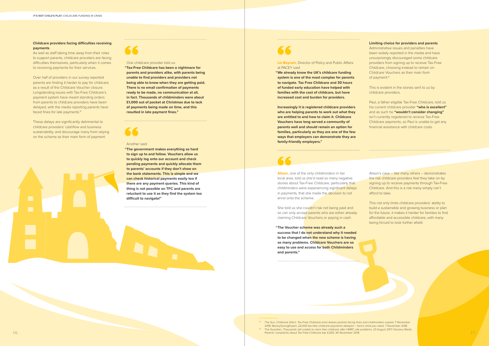### **Childcare providers facing difficulties receiving payments**

As well as staff taking time away from their roles to support parents, childcare providers are facing difficulties themselves, particularly when it comes to receiving payments for their services.

Over half of providers in our survey reported parents are finding it harder to pay for childcare as a result of the Childcare Voucher closure. Longstanding issues with Tax-Free Childcare's payment system have meant standing orders from parents to childcare providers have been delayed, with the media reporting parents have faced fines for late payments.12

These delays are significantly detrimental to childcare providers' cashflow and business sustainability, and discourage many from relying on the scheme as their main form of payment.



### **Liz Bayram,** Director of Policy and Public Affairs at PACEY said:

 She told us she couldn't risk not being paid and so can only accept parents who are either already claiming Childcare Vouchers or paying in cash.

**" We already know the UK's childcare funding system is one of the most complex for parents to navigate. Tax Free Childcare and 30 hours of funded early education have helped with families with the cost of childcare, but have increased cost and burden for providers.** 

**Limiting choice for providers and parents**  Administrative issues and penalties have been widely reported in the media and have unsurprisingly discouraged some childcare providers from signing up to receive Tax-Free Childcare, choosing instead to remain on Childcare Vouchers as their main form of payment.<sup>13</sup>

 **Increasingly it is registered childcare providers who are helping parents to work out what they are entitled to and how to claim it. Childcare Vouchers have long served a community of parents well and should remain an option for families, particularly as they are one of the few ways that employers can demonstrate they are family-friendly employers."**

> Alison's case – like many others – demonstrates the risk childcare providers feel they take on by signing up to receive payments through Tax-Free Childcare. And this is a risk many simply can't afford to take.

 **Alison,** one of the only childminders in her local area, told us she'd read so many negative stories about Tax-Free Childcare, particularly that childminders were experiencing significant delays in payments, that she made the decision to not enrol onto the scheme.

12 The Sun, *Childcare Glitch: Tax-Free Childcare error leaves parents facing fines and childminders unpaid,* 7 November 2018; MoneySavingExpert, 22,000 tax-free childcare payments delayed - here's what you need, 7 November 2018.<br>The Guardian, Thousands still unable to claim free childcare after HMRC site problems, 23 August 2017; Nursery Wo

16. *Parents' complaints about Tax-Free Childcare top 4,500,* **30 November 2018.** 

**" The Voucher scheme was already such a success that I do not understand why it needed to be changed when the new scheme is having so many problems. Childcare Vouchers are so easy to use and access for both Childminders and parents."**

This is evident in the stories sent to us by childcare providers.

Paul, a father eligible Tax-Free Childcare, told us his current childcare provider **"who is excellent"** and as such he **"wouldn't consider changing"** isn't currently registered to receive Tax-Free Childcare payments, so Paul is unable to get any financial assistance with childcare costs.

This not only limits childcare providers' ability to build a sustainable and growing business or plan for the future, it makes it harder for families to find affordable and accessible childcare, with many being forced to look further afield.

### One childcare provider told us:

**" Tax-Free Childcare has been a nightmare for parents and providers alike, with parents being unable to find providers and providers not being able to know when they are getting paid. There is no email confirmation of payments ready to be made, no communication at all, in fact. Thousands of childminders were about £1,000 out of pocket at Christmas due to lack of payments being made on time, and this resulted in late payment fines."**

### Another said:

**" The government makes everything so hard to sign up to and follow. Vouchers allow us to quickly log onto our account and check pending payments and quickly allocate them to parents' accounts if they don't show on the bank statements. This is simple and we can check historical payments easily too if there are any payment queries. This kind of thing is not possible on TFC and parents are reluctant to use it as they find the system too difficult to navigate!"**

A D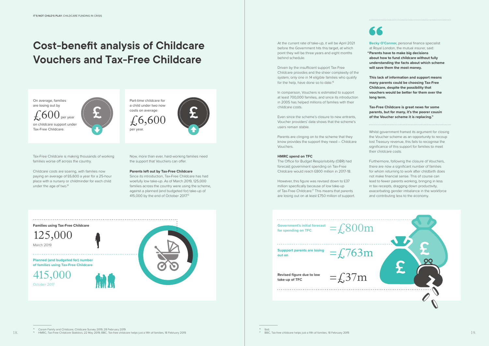## **Cost-benefit analysis of Childcare Vouchers and Tax-Free Childcare**

Since its introduction, Tax-Free Childcare has had woefully low take-up. As of March 2019, 125,000 families across the country were using the scheme, against a planned (and budgeted for) take-up of 415,000 by the end of October 2017.<sup>15</sup>

Now, more than ever, hard-working families need the support that Vouchers can offer.

### **Parents left out by Tax-Free Childcare**

Driven by the insufficient support Tax-Free Childcare provides and the sheer complexity of the system, only one in 14 eligible families who qualify for the help, have done so to date.<sup>16</sup>

Tax-Free Childcare is making thousands of working

families worse off across the country.

Childcare costs are soaring, with families now paying an average of £6,600 a year for a 25-hour place with a nursery or childminder for each child

At the current rate of take-up, it will be April 2021 before the Government hits this target, at which point they will be three years and eight months behind schedule.

In comparison, Vouchers is estimated to support at least 700,000 families, and since its introduction in 2005 has helped millions of families with their childcare costs.

Even since the scheme's closure to new entrants, Voucher providers' data shows that the scheme's users remain stable.

Parents are clinging on to the scheme that they know provides the support they need – Childcare Vouchers.

**Becky O'Connor,** personal finance specialist at Royal London, the mutual insurer, said: **" Parents have to make big decisions about how to fund childcare without fully understanding the facts about which scheme will save them the most money.**

### **HMRC spend on TFC**

The Office for Budget Responsibility (OBR) had forecast government spending on Tax-Free Childcare would reach £800 million in 2017-18.

**Suppport parents are losing**  Suppport parents are losing  $=$   $\frac{27}{63}$  m

However, this figure was revised down to £37 million specifically because of low take-up of Tax-Free Childcare.<sup>17</sup> This means that parents are losing out on at least £750 million of support.



on childcare support under

Tax-Free Childcare.

under the age of two.<sup>14</sup>

Part-time childcare for a child under two now





per year.

Whilst government framed its argument for closing the Voucher scheme as an opportunity to recoup lost Treasury revenue, this fails to recognise the significance of this support for families to meet their childcare costs.

Furthermore, following the closure of Vouchers, there are now a significant number of families for whom returning to work after childbirth does not make financial sense. This of course can lead to fewer parents working, bringing in less in tax receipts, dragging down productivity, exacerbating gender imbalance in the workforce and contributing less to the economy.





 **This lack of information and support means many parents could be choosing Tax-Free Childcare, despite the possibility that vouchers would be better for them over the long term.**

 **Tax-Free Childcare is great news for some parents, but for many, it's the poorer cousin of the Voucher scheme it is replacing."**

## =£800m

**Revised figure due to low take-up of TFC**

**Government's initial forecast for spending on TFC**

<sup>14</sup> Coram Family and Childcare, Childcare Survey 2019, 28 February 2019.

18. The MMRC, Tax-Free Childcare Statistics, 22 May 2019; BBC, Tax-free childcare helps just a fifth of families, 18 February 2019. The Childcare helps just a fifth of families, 18 February 2019. The Childcare helps just a

<sup>16</sup> Ibid.

 $=\frac{237m}{m}$ 

<sup>17</sup> BBC, Tax-free childcare helps just a fifth of families, 18 February 2019.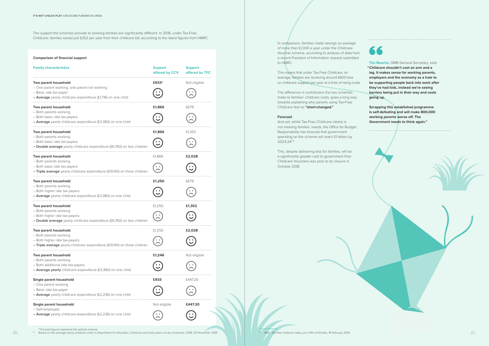In comparison, families made savings on average of more than £1,000 a year under the Childcare Voucher scheme, according to analysis of data from a recent Freedom of Information request submitted to HMRC.

This means that under Tax-Free Childcare, on average, families are receiving around £600 less on childcare support per year at a time of rising costs.

The difference in contribution the two schemes make to families' childcare costs, goes a long way towards explaining why parents using Tax-Free Childcare feel so **"short-changed."**

### **Forecast**

And yet, whilst Tax-Free Childcare clearly is not meeting families' needs, the Office for Budget Responsibility has forecast that government spending on the scheme will reach £1 billion by 2023-24.18

This, despite delivering less for families, will be a significantly greater cost to government than Childcare Vouchers was prior to its closure in October 2018.

The support the schemes provide to working families are significantly different. In 2018, under Tax-Free Childcare, families saved just £352 per year from their childcare bill, according to the latest figures from HMRC.

| <b>Family characteristics</b>                                                                           | <b>Support</b><br>offered by CCV | <b>Support</b><br>offered by TFC |
|---------------------------------------------------------------------------------------------------------|----------------------------------|----------------------------------|
| Two parent household                                                                                    | £933'                            | Not eligible                     |
| - One parent working, one parent not working                                                            |                                  |                                  |
| - Basic rate tax-payer                                                                                  |                                  |                                  |
| - Average yearly childcare expenditure (£1,716) on one child                                            |                                  |                                  |
| Two parent household                                                                                    | £1,866                           | £676                             |
| - Both parents working                                                                                  |                                  |                                  |
| - Both basic rate tax-payers<br>- Average yearly childcare expenditure (£3,380) on one child            |                                  |                                  |
|                                                                                                         |                                  |                                  |
| <b>Two parent household</b>                                                                             | £1,866                           | £1,352                           |
| - Both parents working                                                                                  |                                  |                                  |
| - Both basic rate tax-payers<br>- Double average yearly childcare expenditure (£6,760) on two children  |                                  |                                  |
|                                                                                                         |                                  |                                  |
| <b>Two parent household</b><br>- Both parents working                                                   | £1,866                           | £2,028                           |
| - Both basic rate tax-payers                                                                            |                                  |                                  |
| - Triple average yearly childcare expenditure (£10,140) on three children                               |                                  |                                  |
| <b>Two parent household</b>                                                                             | £1,250                           | £676                             |
| - Both parents working                                                                                  |                                  |                                  |
| - Both higher rate tax-payers<br>- Average yearly childcare expenditure (£3,380) on one child           |                                  |                                  |
|                                                                                                         |                                  |                                  |
| Two parent household                                                                                    | £1,250                           | £1,352                           |
| - Both parents working                                                                                  |                                  |                                  |
| - Both higher rate tax-payers<br>- Double average yearly childcare expenditure (£6,760) on two children |                                  |                                  |
| Two parent household                                                                                    | £1,250                           | £2,028                           |
| - Both parents working                                                                                  |                                  |                                  |
| - Both higher rate tax-payers                                                                           |                                  |                                  |
| - Triple average yearly childcare expenditure (£10,140) on three children                               |                                  |                                  |
| Two parent household                                                                                    | £1,246                           | Not eligible                     |
| - Both parents working                                                                                  |                                  |                                  |
| - Both additional rate tax-payers<br>- Average yearly childcare expenditure (£3,380) on one child       |                                  |                                  |
|                                                                                                         |                                  |                                  |
| <b>Single parent household</b>                                                                          | £933                             | £447.20                          |
| - One parent working                                                                                    |                                  |                                  |
| - Basic rate tax-payer                                                                                  |                                  |                                  |
| - Average yearly childcare expenditure (£2,236) on one child                                            |                                  |                                  |
| <b>Single parent household</b>                                                                          | Not eligible                     | £447.20                          |
| - Self-employed<br>- Average yearly childcare expenditure (£2,236) on one child                         |                                  |                                  |
|                                                                                                         |                                  |                                  |

### **Comparison of financial support**

**Tim Roache,** GMB General Secretary, said: **" Childcare shouldn't cost an arm and a leg. It makes sense for working parents, employers and the economy as a hole to be supporting people back into work after they've had kids, instead we're seeing barriers being put in their way and costs going up.** 

 **Scrapping this established programme is self-defeating and will make 800,000 working parents worse off. The Government needs to think again."**

## 50

20. <sup>18</sup> Based on the average yearly childcare costs in Department for Education, *Childcare and early years survey of parents: 2018*, 20 December 2018. **19 BC, Tax-free childcare helps just a fifth of families, 18 Februar**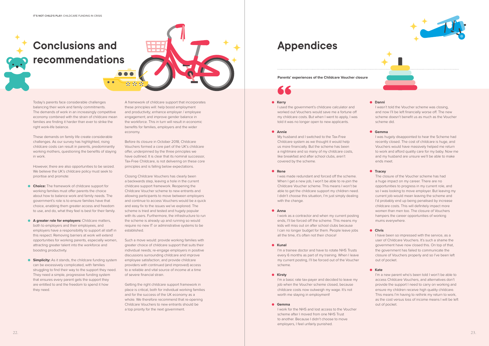

## **Appendices**

 Today's parents face considerable challenges balancing their work and family commitments. The demands of work in an increasingly competitive economy combined with the strain of childcare mean families are finding it harder than ever to strike the right work-life balance.

 These demands on family life create considerable challenges. As our survey has highlighted, rising childcare costs can result in parents, predominantly working mothers, questioning the benefits of staying in work.

 However, there are also opportunities to be seized. We believe the UK's childcare policy must seek to prioritise and promote:

- **Choice:** The framework of childcare support for working families must offer parents the choice about how to balance work and family needs. The government's role is to ensure families have that choice, enabling them greater access and freedom to use, and do, what they feel is best for their family.
- **A greater role for employers:** Childcare matters, both to employers and their employees, and employers have a responsibility to support all staff in this respect. Removing barriers at work will extend opportunities for working parents, especially women, attracting greater talent into the workforce and boosting productivity.
- **Simplicity:** As it stands, the childcare funding system can be excessively complicated, with families struggling to find their way to the support they need. They need a simple, progressive funding system that ensures every parent gets the support they are entitled to and the freedom to spend it how they need.

A framework of childcare support that incorporates these principles will: help boost employment and productivity; enhance employer / employee engagement; and improve gender balance in the workforce. This in turn will result in economic benefits for families, employers and the wider economy.

> I was made redundant and forced off the scheme. When I get a new job, I won't be able to re-join the Childcare Voucher scheme. This means I won't be able to get the childcare support my children need. I didn't choose this situation, I'm just simply dealing with the change.

Before its closure in October 2018, Childcare Vouchers formed a core part of the UK's childcare offer, underpinned by the three principles we have outlined. It is clear that its nominal successor, Tax-Free Childcare, is not delivering on these core principles and is falling below expectations.

> I'm a basic rate tax-payer and decided to leave my job when the Voucher scheme closed, because childcare costs now outweigh my wage. It's not worth me staying in employment!

Closing Childcare Vouchers has clearly been a backwards step, leaving a hole in the current childcare support framework. Reopening the Childcare Voucher scheme to new entrants and allowing participants to move between employers and continue to access Vouchers would be a quick and easy fix to the issues we've explored. The scheme is tried and tested and hugely popular with its users. Furthermore, the infrastructure to run the scheme is already up and running so would require no new IT or administrative systems to be established.

Such a move would: provide working families with greater choice of childcare support that suits their individual needs; re-engage employers in positive discussions surrounding childcare and improve employee satisfaction; and provide childcare providers with continued (and improved) access to a reliable and vital source of income at a time of severe financial strain.

Getting the right childcare support framework in place is critical, both for individual working families and for the success of the UK economy as a whole. We therefore recommend that re-opening Childcare Vouchers to new entrants should be a top priority for the next government.

### **• Kerry**

 I used the government's childcare calculator and worked out Vouchers would save me a fortune off my childcare costs. But when I went to apply, I was told it was no longer open to new applicants.

### **• Annie**

 My husband and I switched to the Tax-Free Childcare system as we thought it would help us more financially. But the scheme has been a nightmare and so many of my childcare costs, like breakfast and after school clubs, aren't covered by the scheme.

### **• Rene**

### **• Anna**

 I work as a contractor and when my current posting ends, I'll be forced off the scheme. This means my kids will miss out on after school clubs because I can no longer budget for them. People leave jobs all the time, it's often not their choice!

### **• Kunal**

 I'm a trainee doctor and have to rotate NHS Trusts every 6 months as part of my training. When I leave my current posting, I'll be forced out of the Voucher scheme.

### **• Kirsty**

### **• Gemma**

 I work for the NHS and lost access to the Voucher scheme after I moved from one NHS Trust to another. Because I didn't choose to move employers, I feel unfairly punished.



### **• Danni**

 I wasn't told the Voucher scheme was closing, and now I'll be left financially worse off. The new scheme doesn't benefit us as much as the Voucher scheme did.

### **• Gemma**

 I was hugely disappointed to hear the Scheme had recently closed. The cost of childcare is huge, and Vouchers would have massively helped me return to work and afford quality care for my baby. Now me and my husband are unsure we'll be able to make ends meet.

### **• Tracey**

 The closure of the Voucher scheme has had a huge impact on my career. There are no opportunities to progress in my current role, and so I was looking to move employer. But leaving my current job would mean leaving the scheme and I'd probably end up being penalised by increase childcare costs. This will definitely impact more women than men too. The closure of Vouchers hampers the career opportunities of working mums everywhere.

### **• Chris**

 I have been so impressed with the service, as a user of Childcare Vouchers. It's such a shame the government have now closed this. On top of that, the government has failed to communicate the closure of Vouchers properly and so I've been left out of pocket.

### **• Kate**

 I'm a new parent who's been told I won't be able to access Childcare Vouchers, and alternatives don't provide the support I need to carry on working and ensure my children receive high quality childcare. This means I'm having to rethink my return to work, as the cost versus loss of income means I will be left out of pocket.

**Parents' experiences of the Childcare Voucher closure**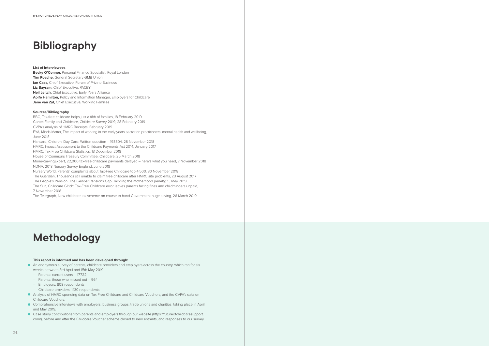## **Bibliography**

### **List of interviewees**

**Becky O'Connor, Personal Finance Specialist, Royal London Tim Roache,** General Secretary GMB Union **Ian Cass, Chief Executive, Forum of Private Business Liz Bayram,** Chief Executive, PACEY **Neil Leitch,** Chief Executive, Early Years Alliance **Aoife Hamilton,** Policy and Information Manager, Employers for Childcare **Jane van Zyl, Chief Executive, Working Families** 

### **Sources/Bibliography**

BBC, Tax-free childcare helps just a fifth of families, 18 February 2019 Coram Family and Childcare, Childcare Survey 2019, 28 February 2019 CVPA's analysis of HMRC Receipts, February 2019 EYA, Minds Matter, The impact of working in the early years sector on practitioners' mental health and wellbeing, June 2018 Hansard, Children: Day Care: Written question – 193504, 28 November 2018 HMRC, Impact Assessment to the Childcare Payments Act 2014, January 2017 HMRC, Tax-Free Childcare Statistics, 13 December 2018 House of Commons Treasury Committee, Childcare, 25 March 2018 MoneySavingExpert, 22,000 tax-free childcare payments delayed – here's what you need, 7 November 2018 NDNA, 2018 Nursery Survey England, June 2018 Nursery World, Parents' complaints about Tax-Free Childcare top 4,500, 30 November 2018 The Guardian, Thousands still unable to claim free childcare after HMRC site problems, 23 August 2017 The People's Pension, The Gender Pensions Gap: Tackling the motherhood penalty, 13 May 2019 The Sun, Childcare Glitch: Tax-Free Childcare error leaves parents facing fines and childminders unpaid, 7 November 2018 The Telegraph, New childcare tax scheme on course to hand Government huge saving, 26 March 2019

## **Methodology**

### **This report is informed and has been developed through:**

- An anonymous survey of parents, childcare providers and employers across the country, which ran for six weeks between 3rd April and 15th May 2019.
	- Parents: current users 17,722
- Parents: those who missed out 964
- Employers: 808 respondents
- Childcare providers: 1,130 respondents
- Analysis of HMRC spending data on Tax-Free Childcare and Childcare Vouchers, and the CVPA's data on Childcare Vouchers.
- Comprehensive interviews with employers, business groups, trade unions and charities, taking place in April and May 2019.
- Case study contributions from parents and employers through our website (https://futureofchildcaresupport. com/), before and after the Childcare Voucher scheme closed to new entrants, and responses to our survey.